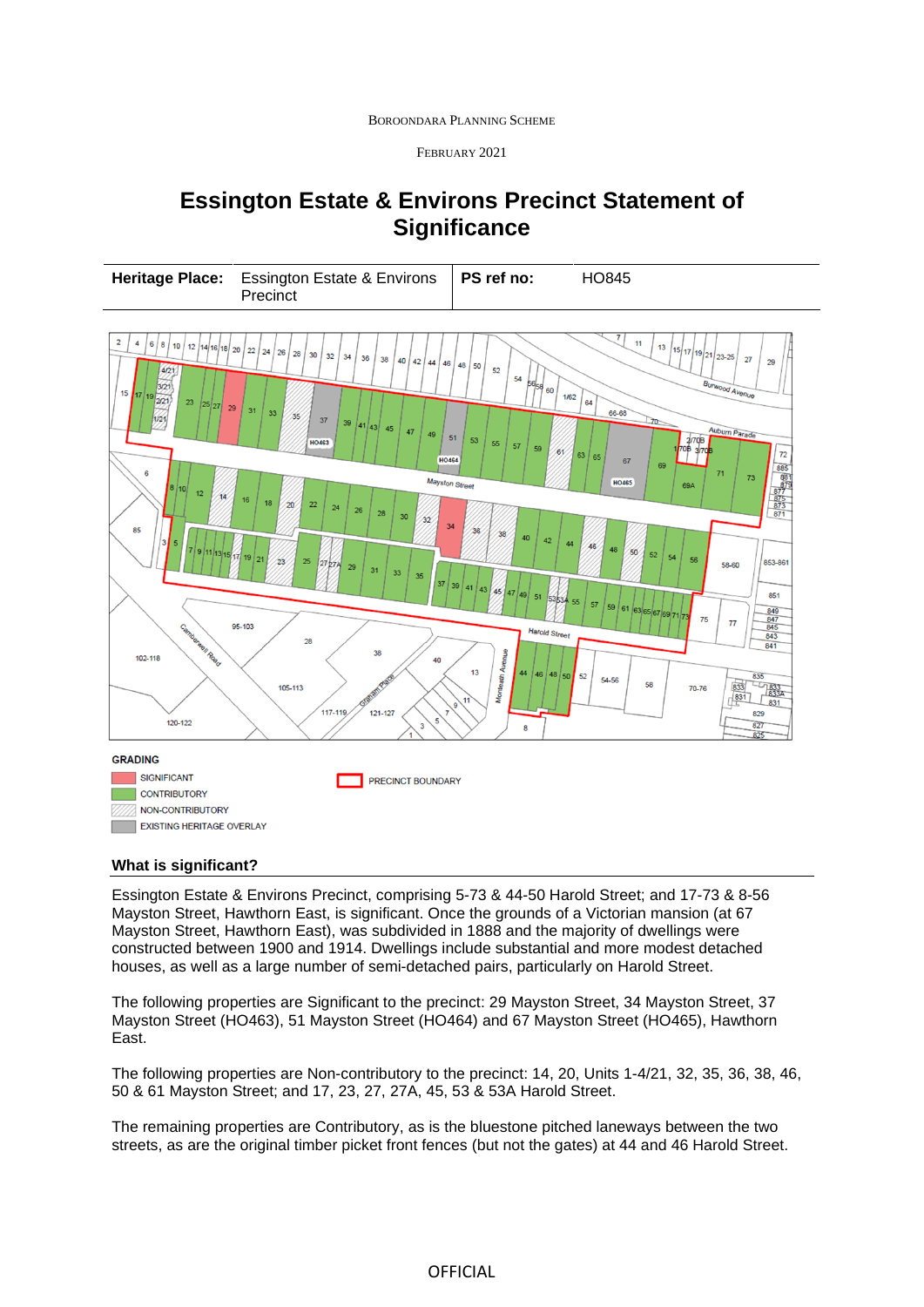BOROONDARA PLANNING SCHEME

FEBRUARY 2021

# **Essington Estate & Environs Precinct Statement of Significance**



### **What is significant?**

Essington Estate & Environs Precinct, comprising 5-73 & 44-50 Harold Street; and 17-73 & 8-56 Mayston Street, Hawthorn East, is significant. Once the grounds of a Victorian mansion (at 67 Mayston Street, Hawthorn East), was subdivided in 1888 and the majority of dwellings were constructed between 1900 and 1914. Dwellings include substantial and more modest detached houses, as well as a large number of semi-detached pairs, particularly on Harold Street.

The following properties are Significant to the precinct: 29 Mayston Street, 34 Mayston Street, 37 Mayston Street (HO463), 51 Mayston Street (HO464) and 67 Mayston Street (HO465), Hawthorn East.

The following properties are Non-contributory to the precinct: 14, 20, Units 1-4/21, 32, 35, 36, 38, 46, 50 & 61 Mayston Street; and 17, 23, 27, 27A, 45, 53 & 53A Harold Street.

The remaining properties are Contributory, as is the bluestone pitched laneways between the two streets, as are the original timber picket front fences (but not the gates) at 44 and 46 Harold Street.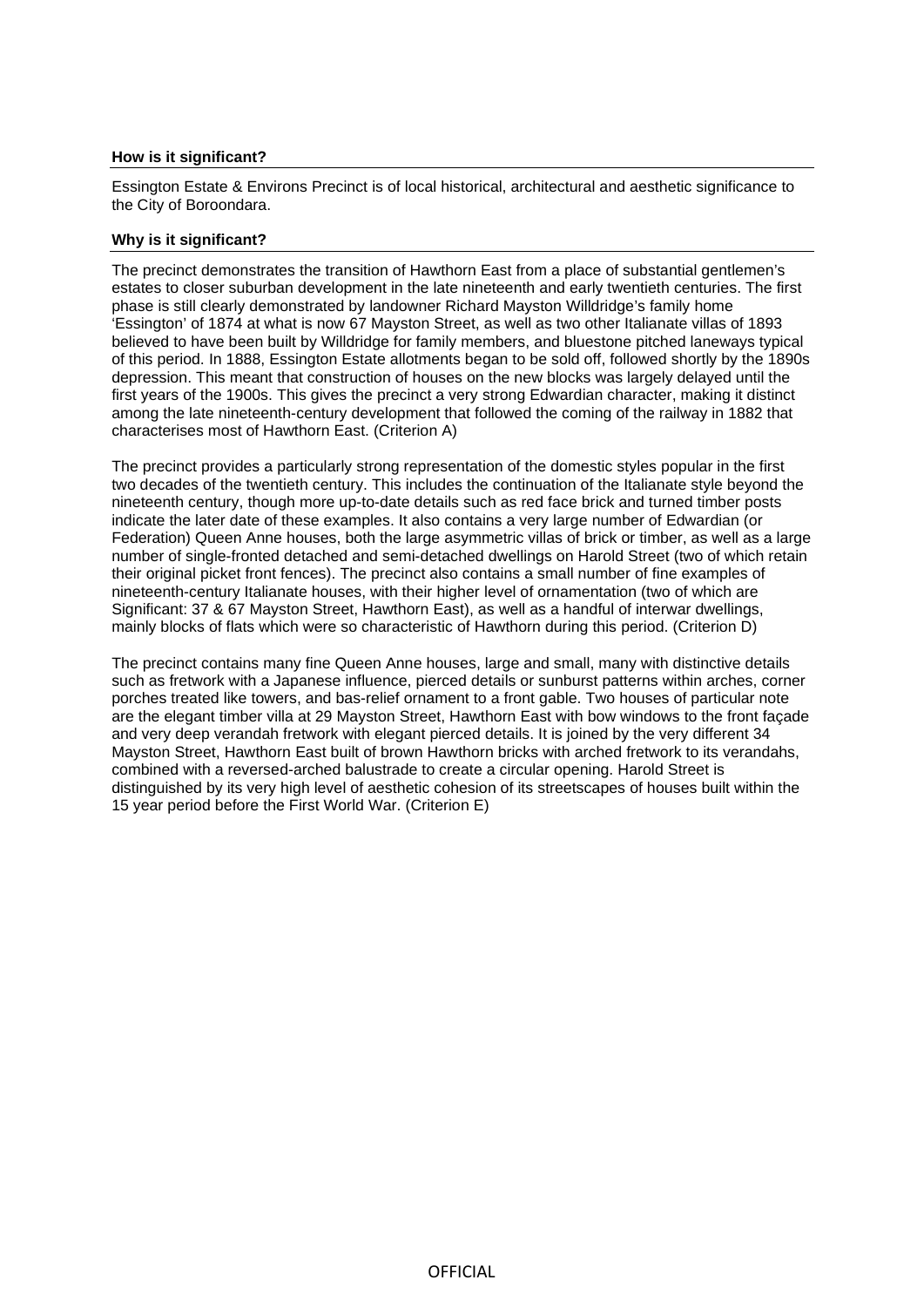#### **How is it significant?**

Essington Estate & Environs Precinct is of local historical, architectural and aesthetic significance to the City of Boroondara.

#### **Why is it significant?**

The precinct demonstrates the transition of Hawthorn East from a place of substantial gentlemen's estates to closer suburban development in the late nineteenth and early twentieth centuries. The first phase is still clearly demonstrated by landowner Richard Mayston Willdridge's family home 'Essington' of 1874 at what is now 67 Mayston Street, as well as two other Italianate villas of 1893 believed to have been built by Willdridge for family members, and bluestone pitched laneways typical of this period. In 1888, Essington Estate allotments began to be sold off, followed shortly by the 1890s depression. This meant that construction of houses on the new blocks was largely delayed until the first years of the 1900s. This gives the precinct a very strong Edwardian character, making it distinct among the late nineteenth-century development that followed the coming of the railway in 1882 that characterises most of Hawthorn East. (Criterion A)

The precinct provides a particularly strong representation of the domestic styles popular in the first two decades of the twentieth century. This includes the continuation of the Italianate style beyond the nineteenth century, though more up-to-date details such as red face brick and turned timber posts indicate the later date of these examples. It also contains a very large number of Edwardian (or Federation) Queen Anne houses, both the large asymmetric villas of brick or timber, as well as a large number of single-fronted detached and semi-detached dwellings on Harold Street (two of which retain their original picket front fences). The precinct also contains a small number of fine examples of nineteenth-century Italianate houses, with their higher level of ornamentation (two of which are Significant: 37 & 67 Mayston Street, Hawthorn East), as well as a handful of interwar dwellings, mainly blocks of flats which were so characteristic of Hawthorn during this period. (Criterion D)

The precinct contains many fine Queen Anne houses, large and small, many with distinctive details such as fretwork with a Japanese influence, pierced details or sunburst patterns within arches, corner porches treated like towers, and bas-relief ornament to a front gable. Two houses of particular note are the elegant timber villa at 29 Mayston Street, Hawthorn East with bow windows to the front façade and very deep verandah fretwork with elegant pierced details. It is joined by the very different 34 Mayston Street, Hawthorn East built of brown Hawthorn bricks with arched fretwork to its verandahs, combined with a reversed-arched balustrade to create a circular opening. Harold Street is distinguished by its very high level of aesthetic cohesion of its streetscapes of houses built within the 15 year period before the First World War. (Criterion E)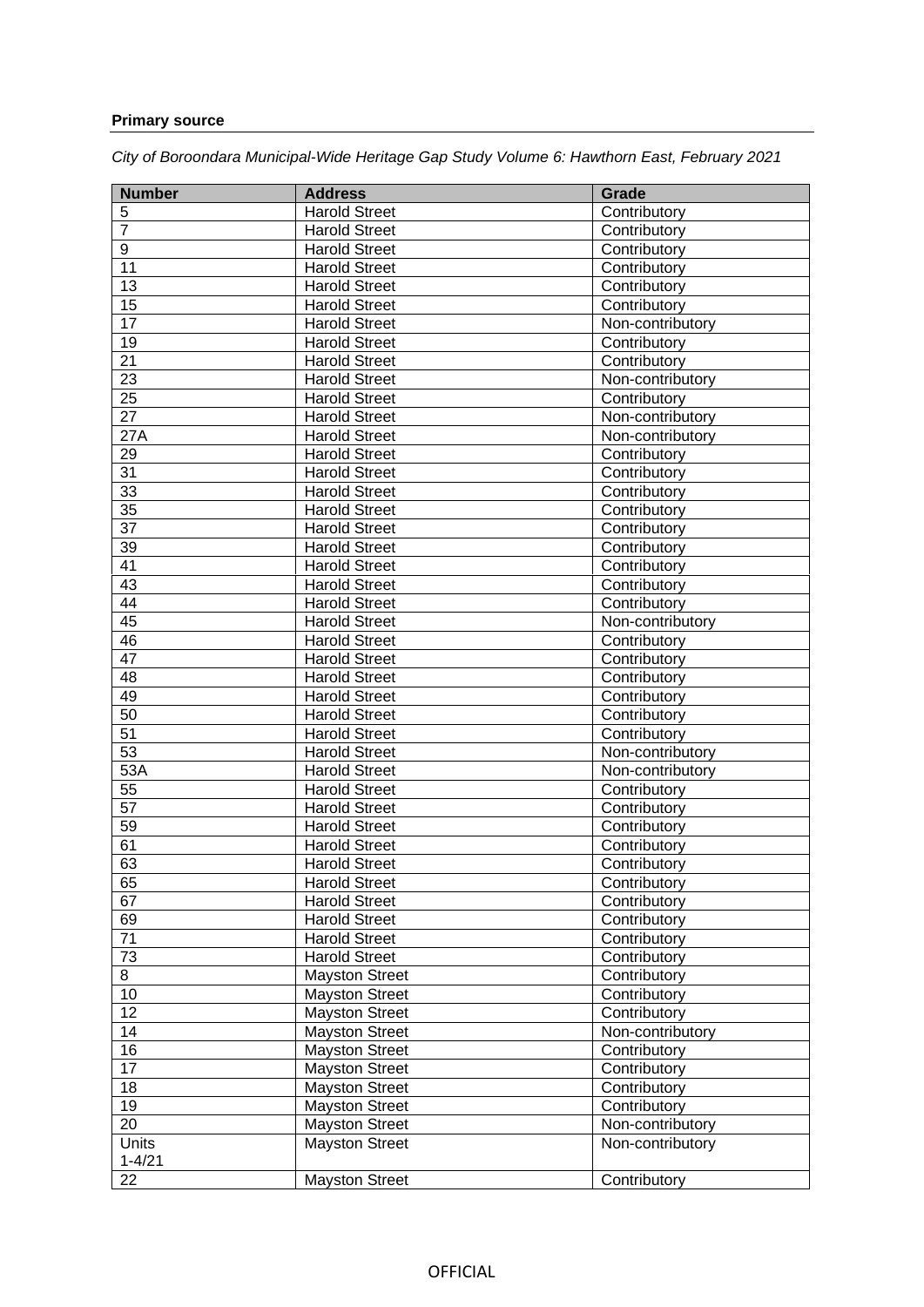## **Primary source**

*City of Boroondara Municipal-Wide Heritage Gap Study Volume 6: Hawthorn East, February 2021* 

| <b>Number</b>   | <b>Address</b>        | <b>Grade</b>     |
|-----------------|-----------------------|------------------|
| 5               | <b>Harold Street</b>  | Contributory     |
| $\overline{7}$  | <b>Harold Street</b>  | Contributory     |
| 9               | <b>Harold Street</b>  | Contributory     |
| 11              | <b>Harold Street</b>  | Contributory     |
| 13              | <b>Harold Street</b>  | Contributory     |
| 15              | <b>Harold Street</b>  | Contributory     |
| 17              | <b>Harold Street</b>  | Non-contributory |
| 19              | <b>Harold Street</b>  | Contributory     |
| 21              | <b>Harold Street</b>  | Contributory     |
| 23              | <b>Harold Street</b>  | Non-contributory |
| $\overline{25}$ | <b>Harold Street</b>  | Contributory     |
| $\overline{27}$ | <b>Harold Street</b>  | Non-contributory |
| 27A             | <b>Harold Street</b>  | Non-contributory |
| 29              | <b>Harold Street</b>  | Contributory     |
| 31              | <b>Harold Street</b>  | Contributory     |
| 33              | <b>Harold Street</b>  | Contributory     |
| $\overline{35}$ | <b>Harold Street</b>  | Contributory     |
| 37              | <b>Harold Street</b>  | Contributory     |
| 39              | <b>Harold Street</b>  | Contributory     |
| 41              | <b>Harold Street</b>  | Contributory     |
| 43              | <b>Harold Street</b>  | Contributory     |
| 44              | <b>Harold Street</b>  | Contributory     |
| 45              | <b>Harold Street</b>  | Non-contributory |
| 46              | <b>Harold Street</b>  | Contributory     |
| 47              | <b>Harold Street</b>  | Contributory     |
| 48              | <b>Harold Street</b>  | Contributory     |
| 49              | <b>Harold Street</b>  | Contributory     |
| 50              | <b>Harold Street</b>  | Contributory     |
| 51              | <b>Harold Street</b>  | Contributory     |
| $\overline{53}$ | <b>Harold Street</b>  | Non-contributory |
| 53A             | <b>Harold Street</b>  | Non-contributory |
| 55              | <b>Harold Street</b>  | Contributory     |
| 57              | <b>Harold Street</b>  | Contributory     |
| 59              | Harold Street         | Contributory     |
| 61              | <b>Harold Street</b>  | Contributory     |
| 63              | <b>Harold Street</b>  | Contributory     |
| 65              | <b>Harold Street</b>  | Contributory     |
| 67              | <b>Harold Street</b>  | Contributory     |
| 69              | <b>Harold Street</b>  | Contributory     |
| 71              | <b>Harold Street</b>  | Contributory     |
| 73              | <b>Harold Street</b>  | Contributory     |
| 8               | <b>Mayston Street</b> | Contributory     |
| 10              | <b>Mayston Street</b> | Contributory     |
| 12              | <b>Mayston Street</b> | Contributory     |
| 14              | <b>Mayston Street</b> | Non-contributory |
| 16              | <b>Mayston Street</b> | Contributory     |
| 17              | <b>Mayston Street</b> | Contributory     |
| 18              | <b>Mayston Street</b> | Contributory     |
| 19              | <b>Mayston Street</b> | Contributory     |
| 20              | <b>Mayston Street</b> | Non-contributory |
| <b>Units</b>    | <b>Mayston Street</b> | Non-contributory |
| $1 - 4/21$      |                       |                  |
| 22              | <b>Mayston Street</b> | Contributory     |